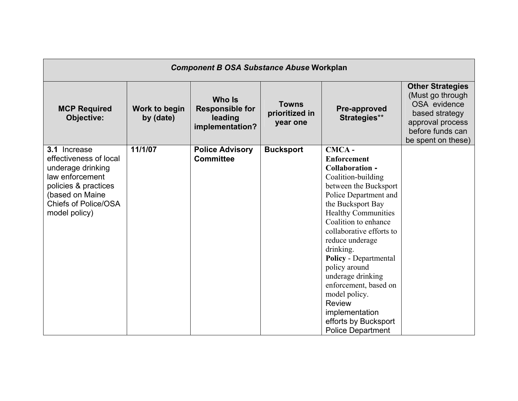| <b>Component B OSA Substance Abuse Workplan</b>                                                                                                                           |                            |                                                                |                                            |                                                                                                                                                                                                                                                                                                                                                                                                                                                                      |                                                                                                                                              |  |  |
|---------------------------------------------------------------------------------------------------------------------------------------------------------------------------|----------------------------|----------------------------------------------------------------|--------------------------------------------|----------------------------------------------------------------------------------------------------------------------------------------------------------------------------------------------------------------------------------------------------------------------------------------------------------------------------------------------------------------------------------------------------------------------------------------------------------------------|----------------------------------------------------------------------------------------------------------------------------------------------|--|--|
| <b>MCP Required</b><br><b>Objective:</b>                                                                                                                                  | Work to begin<br>by (date) | Who Is<br><b>Responsible for</b><br>leading<br>implementation? | <b>Towns</b><br>prioritized in<br>year one | Pre-approved<br>Strategies**                                                                                                                                                                                                                                                                                                                                                                                                                                         | <b>Other Strategies</b><br>(Must go through)<br>OSA evidence<br>based strategy<br>approval process<br>before funds can<br>be spent on these) |  |  |
| 3.1 Increase<br>effectiveness of local<br>underage drinking<br>law enforcement<br>policies & practices<br>(based on Maine<br><b>Chiefs of Police/OSA</b><br>model policy) | 11/1/07                    | <b>Police Advisory</b><br><b>Committee</b>                     | <b>Bucksport</b>                           | CMCA-<br><b>Enforcement</b><br>Collaboration -<br>Coalition-building<br>between the Bucksport<br>Police Department and<br>the Bucksport Bay<br><b>Healthy Communities</b><br>Coalition to enhance<br>collaborative efforts to<br>reduce underage<br>drinking.<br><b>Policy</b> - Departmental<br>policy around<br>underage drinking<br>enforcement, based on<br>model policy.<br><b>Review</b><br>implementation<br>efforts by Bucksport<br><b>Police Department</b> |                                                                                                                                              |  |  |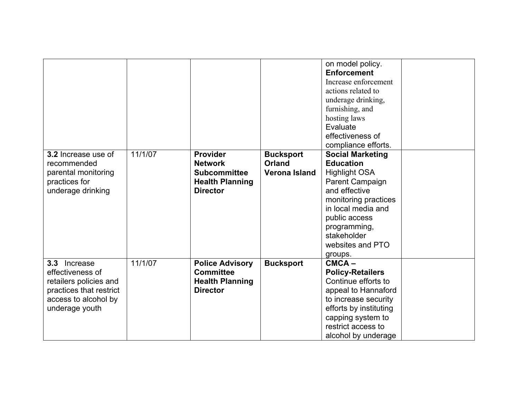|                                                                                                                                                 |         |                                                                                                       |                                                           | on model policy.<br><b>Enforcement</b><br>Increase enforcement<br>actions related to<br>underage drinking,<br>furnishing, and<br>hosting laws<br>Evaluate<br>effectiveness of<br>compliance efforts.                                 |  |
|-------------------------------------------------------------------------------------------------------------------------------------------------|---------|-------------------------------------------------------------------------------------------------------|-----------------------------------------------------------|--------------------------------------------------------------------------------------------------------------------------------------------------------------------------------------------------------------------------------------|--|
| 3.2 Increase use of<br>recommended<br>parental monitoring<br>practices for<br>underage drinking                                                 | 11/1/07 | <b>Provider</b><br><b>Network</b><br><b>Subcommittee</b><br><b>Health Planning</b><br><b>Director</b> | <b>Bucksport</b><br><b>Orland</b><br><b>Verona Island</b> | <b>Social Marketing</b><br><b>Education</b><br><b>Highlight OSA</b><br>Parent Campaign<br>and effective<br>monitoring practices<br>in local media and<br>public access<br>programming,<br>stakeholder<br>websites and PTO<br>groups. |  |
| Increase<br>3.3 <sub>2</sub><br>effectiveness of<br>retailers policies and<br>practices that restrict<br>access to alcohol by<br>underage youth | 11/1/07 | <b>Police Advisory</b><br><b>Committee</b><br><b>Health Planning</b><br><b>Director</b>               | <b>Bucksport</b>                                          | $CMCA -$<br><b>Policy-Retailers</b><br>Continue efforts to<br>appeal to Hannaford<br>to increase security<br>efforts by instituting<br>capping system to<br>restrict access to<br>alcohol by underage                                |  |